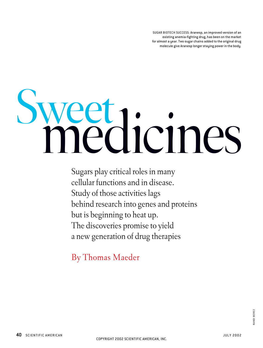SUGAR BIOTECH SUCCESS: Aranesp, an improved version of an existing anemia-fighting drug, has been on the market for almost a year. Two sugar chains added to the original drug molecule give Aranesp longer staying power in the body.

# medicines

Sugars play critical roles in many cellular functions and in disease. Study of those activities lags behind research into genes and proteins but is beginning to heat up. The discoveries promise to yield a new generation of drug therapies

By Thomas Maeder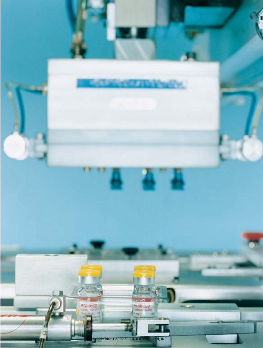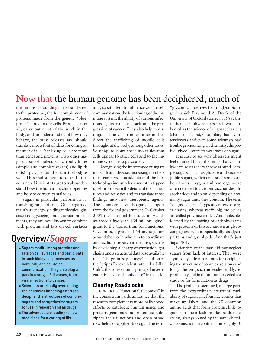# Now that the human genome has been deciphered, much of

the fanfare surrounding it has transferred to the proteome, the full complement of proteins made from the genetic "blueprints" stored in our cells. Proteins, after all, carry out most of the work in the body, and an understanding of how they behave, the press releases say, should translate into a font of ideas for curing all manner of ills. Yet living cells are more than genes and proteins. Two other major classes of molecules—carbohydrates (simple and complex sugars) and lipids (fats)—play profound roles in the body as well. These substances, too, need to be considered if scientists are to truly understand how the human machine operates and how to correct its maladies.

Sugars in particular perform an astonishing range of jobs. Once regarded mainly as energy-yielding molecules (glucose and glycogen) and as structural elements, they are now known to combine with proteins and fats on cell surfaces

### Overview/*Sugars*

- Sugars modify many proteins and fats on cell surfaces and participate in such biological processes as immunity and cell-to-cell communication. They also play a part in a range of diseases, from viral infections to cancer.
- Scientists are finally overcoming the obstacles impeding efforts to decipher the structures of complex sugars and to synthesize sugars for use in research and as drugs.
- The advances are leading to new medicines for a variety of ills.

and, so situated, to influence cell-to-cell communication, the functioning of the immune system, the ability of various infectious agents to make us sick, and the progression of cancer. They also help to distinguish one cell from another and to direct the trafficking of mobile cells throughout the body, among other tasks. So ubiquitous are these molecules that cells appear to other cells and to the immune system as sugarcoated.

Recognizing the importance of sugars in health and disease, increasing numbers of researchers in academia and the biotechnology industry have recently stepped up efforts to learn the details of their structures and activities and to translate those findings into new therapeutic agents. These pioneers have also gained support from the federal government. In October 2001 the National Institutes of Health awarded a five-year, \$34-million "glue" grant to the Consortium for Functional Glycomics, a group of 54 investigators around the world who aim to coordinate and facilitate research in the area, such as by developing a library of synthetic sugar chains and a structural database available to all. The grant, says James C. Paulson of the Scripps Research Institute in La Jolla, Calif., the consortium's principal investigator, is "a vote of confidence" in the field.

#### **Clearing Roadblocks**

THE WORDS "functional glycomics" in the consortium's title announce that the research complements more ballyhooed efforts to catalogue human genes and proteins (genomics and proteomics), decipher their functions and open broad new fields of applied biology. The term

"glycomics" derives from "glycobiology," which Raymond A. Dwek of the University of Oxford coined in 1988. Until then, carbohydrate research was spoken of as the science of oligosaccharides (chains of sugars), vocabulary that lay interviewers and even some scientists had trouble pronouncing. In chemistry, the prefix "glyco" refers to sweetness or sugar.

It is easy to see why observers might feel daunted by all the terms that carbohydrate researchers throw around. Simple sugars—such as glucose and sucrose (table sugar), which consist of some carbon atoms, oxygen and hydrogen—are often referred to as monosaccharides, disaccharides and so on, depending on how many sugar units they contain. The term "oligosaccharide" typically refers to larger chains, whereas *really* big molecules are called polysaccharides. And molecules formed by the pairing of carbohydrates with proteins or fats are known as glycoconjugates or, more specifically, as glycoproteins and glycolipids. And that's just Sugar 101.

Scientists of the past did not neglect sugars from lack of interest. They were stymied by a dearth of tools for deciphering the structure of complex versions and for synthesizing such molecules readily, reproducibly and in the amounts needed for study or for formulation as drugs.

The problems stemmed, in large part, from the extraordinary structural variability of sugars. The four nucleotides that make up DNA, and the 20 common amino acids that form proteins, link together in linear fashion like beads on a string, always joined by the same chemical connection. In contrast, the roughly 10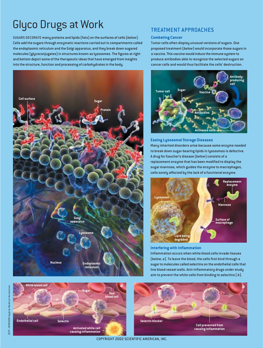# Glyco Drugs at Work

SUGARS DECORATE many proteins and lipids (fats) on the surfaces of cells (*below*). Cells add the sugars through enzymatic reactions carried out in compartments called the endoplasmic reticulum and the Golgi apparatus, and they break down sugared molecules (glycoconjugates) in structures known as lysosomes. The figures at right and bottom depict some of the therapeutic ideas that have emerged from insights into the structure, function and processing of carbohydrates in the body.

# **Protein Cell surface Sugar Lysosome Nucleus Golgi apparatus Endoplasmic reticulum**

#### TREATMENT APPROACHES

#### **Combating Cancer**

Tumor cells often display unusual versions of sugars. One proposed treatment (*below*) would incorporate those sugars in a vaccine. This vaccine would induce the immune system to produce antibodies able to recognize the selected sugars on cancer cells and would thus facilitate the cells' destruction.



#### **Easing Lysosomal Storage Diseases**

Many inherited disorders arise because some enzyme needed to break down sugar-bearing lipids in lysosomes is defective. A drug for Gaucher's disease (*below*) consists of a replacement enzyme that has been modified to display the sugar mannose, which guides the enzyme to macrophages, cells sorely affected by the lack of a functional enzyme.



#### **Interfering with Inflammation**

Inflammation occurs when white blood cells invade tissues (*below, a*). To leave the blood, the cells first bind through a sugar to molecules called selectins on the endothelial cells that line blood vessel walls. Anti-inflammatory drugs under study aim to prevent the white cells from binding to selectins ( *b*).

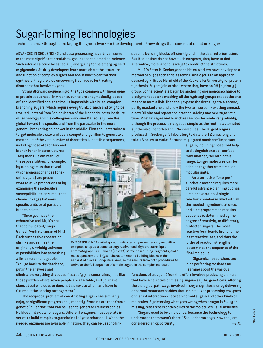# Sugar-Taming Technologies

Technical breakthroughs are laying the groundwork for the development of new drugs that consist of or act on sugars

ADVANCES IN SEQUENCING and data processing have driven some of the most significant breakthroughs in recent biomedical science. Such advances could be especially energizing to the emerging field of glycomics. As drug developers learn more about the structure and function of complex sugars and about how to control their synthesis, they are also uncovering fresh ideas for treating disorders that involve sugars.

Straightforward sequencing of the type common with linear gene or protein sequences, in which subunits are enzymatically lopped off and identified one at a time, is impossible with huge, complex branching sugars, which require every trunk, branch and twig to be tracked. Instead Ram Sasisekharan of the Massachusetts Institute of Technology and his colleagues work simultaneously from the global toward the specific and from the particular to the more general, bracketing an answer in the middle. First they determine a target molecule's size and use a computer algorithm to generate a master list of the vast number of theoretically possible sequences,

specific building blocks efficiently and in the desired orientation. But if scientists do not have such enzymes, they have to find alternative, more laborious ways to construct the structures.

M.I.T.'s Peter H. Seeberger and his co-workers have developed a method of oligosaccharide assembly analogous to an approach devised by R. Bruce Merrifield of the Rockefeller University for protein synthesis. Sugars join at sites where they have an OH (hydroxyl) group. So the scientists begin by anchoring one monosaccharide to a polymer bead and masking all the hydroxyl groups except the one meant to form a link. Then they expose the first sugar to a second, partly masked one and allow the two to interact. Next they unmask a new OH site and repeat the process, adding one new sugar at a time. Most linkages and branches can now be made very reliably, although the process is not yet as simple as the routine automated synthesis of peptides and DNA molecules. The largest sugars produced in Seeberger's laboratory to date are 12 units long and take 16 hours to make. Fortunately, a good number of important

including those of each fork and branch in nonlinear structures. They then rule out many of these possibilities, for example, by running tests that reveal which monosaccharides (oneunit sugars) are present in what relative proportions or by examining the molecule's susceptibility to enzymes that cleave linkages between specific units or at particular branch points.

"Once you have the exhaustive tool kit, it's not that complicated," says Ganesh Venkataraman of M.I.T. Each successive constraint shrinks and refines the originally unwieldy universe of possibilities into something a little more manageable. "You go back to the database, put in the answers and



RAM SASISEKHARAN sits by a sophisticated sugar-sequencing unit. After enzymes chop up a complex sugar, advanced high-pressure liquidchromatography equipment (*on cart*) sorts the resulting fragments, and a mass spectrometer (*right*) characterizes the building blocks in the separated pieces. Computers analyze the results from both procedures to arrive at the full sequence of simple sugars in the complex molecule.

eliminate everything that doesn't satisfy [the constraints]. It's like those puzzles where seven people are at a table, and you have clues about who does or does not sit next to whom and have to figure out the seating arrangement."

The reciprocal problem of constructing sugars has similarly enjoyed significant progress only recently. Proteins are read from a genetic "blueprint" that can be used to generate limitless copies. No blueprint exists for sugars. Different enzymes must operate in series to build complex sugar chains (oligosaccharides). When the needed enzymes are available in nature, they can be used to link

functions of a sugar. Often this effort involves producing animals that have a defective or missing sugar—say, by genetically altering the biological pathways involved in sugar synthesis or by delivering abnormal monosaccharides that inhibit sugar-processing enzymes or disrupt interactions between normal sugars and other kinds of molecules. By observing what goes wrong when a sugar is faulty or missing, researchers obtain clues to the molecule's usual activities.

"Sugars used to be a nuisance, because the technology to understand them wasn't there," Sasisekharan says. Now they are considered an opportunity. —*T.M.*

sugars, including those that help to distinguish one cell surface from another, fall within this range. Longer molecules can be cobbled together from smaller modular units.

An alternative, "one-pot" synthetic method requires more careful advance planning but has simpler execution. A single reaction chamber is filled with all the needed ingredients at once, and a preprogrammed reaction sequence is determined by the degree of reactivity of differently protected sugars. The most reactive form bonds first and the least reactive last, and thus the order of reaction strengths determines the sequence of the final molecule.

Glycomics researchers are also perfecting methods for learning about the various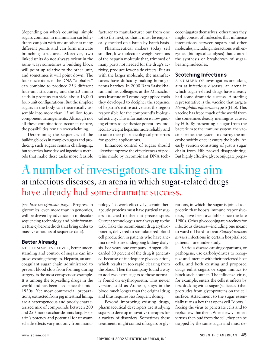(depending on who's counting) simple sugars common in mammalian carbohydrates can join with one another at many different points and can form intricate branching structures. Moreover, two linked units do not always orient in the same way: sometimes a building block will point up relative to the other unit, and sometimes it will point down. The four nucleotides in the DNA "alphabet" can combine to produce 256 different four-unit structures, and the 20 amino acids in proteins can yield about 16,000 four-unit configurations. But the simplest sugars in the body can theoretically assemble into more than 15 million fourcomponent arrangements. Although not all these combinations occur in nature, the possibilities remain overwhelming.

Determining the sequences of the building blocks in complex sugars and producing such sugars remain challenging, but scientists have devised ingenious methods that make these tasks more feasible facturer to manufacturer but from one lot to the next, so that it must be empirically checked on a batch-by-batch basis.

Pharmaceutical makers today sell smaller, low-molecular-weight versions of the heparin molecule that, trimmed of many parts not needed for the drug's activity, produce fewer side effects. But as with the larger molecule, the manufacturers have difficulty making homogeneous batches. In 2000 Ram Sasisekharan and his colleagues at the Massachusetts Institute of Technology applied tools they developed to decipher the sequence of heparin's entire active site, the region responsible for the compound's biological activity. This information is now guiding efforts to synthesize potent low-molecular-weight heparins more reliably and to tailor their pharmacological properties for specific applications.

Enhanced control of sugars should likewise improve the effectiveness of proteins made by recombinant DNA techcoconjugates themselves; other times they might consist of molecules that influence interactions between sugars and other molecules, including interactions with enzymes (biological catalysts) that control the synthesis or breakdown of sugarbearing molecules.

#### **Scotching Infections**

A NUMBER OF investigators are taking aim at infectious diseases, an arena in which sugar-related drugs have already had some dramatic success. A sterling representative is the vaccine that targets *Hemophilus influenzae* type b (Hib). This vaccine has freed much of the world from the sometimes deadly meningitis caused by Hib. By presenting a sugar from the bacterium to the immune system, the vaccine primes the system to destroy the microbe swiftly once it enters the body. An early version consisting of just a sugar chain from Hib proved disappointing. But highly effective glycoconjugate prepa-

# A number of investigators are taking aim at infectious diseases, an arena in which sugar-related drugs have already had some dramatic success.

[*see box on opposite page*]. Progress in glycomics, even more than in genomics, will be driven by advances in molecular sequencing technology and bioinformatics (the cyber-methods that bring order to massive amounts of sequence data).

#### **Better Already**

AT THE SIMPLEST LEVEL, better understanding and control of sugars can improve existing therapies. Heparin, an anticoagulant sugar chain administered to prevent blood clots from forming during surgery, is the most conspicuous example. It is among the top-selling drugs in the world and has been used since the mid-1930s. Yet most commercial preparations, extracted from pig intestinal lining, are a heterogeneous and poorly characterized mix of compounds between 200 and 250 monosaccharide units long. Heparin's potency and potential for unwanted side effects vary not only from manunology. To work effectively, certain therapeutic proteins must have particular sugars attached to them at precise spots. Current technology is not always up to the task. Take the recombinant drug erythropoietin, delivered to stimulate red blood cell production in patients who have anemia or who are undergoing kidney dialysis. For years one company, Amgen, discarded 80 percent of the drug it generated because of inadequate glycosylation, which results in too rapid clearing from the blood. Then the company found a way to add two extra sugars to those normally found on erythropoietin. This newer version, sold as Aranesp, stays in the blood much longer than the original drug and thus requires less frequent dosing.

Beyond improving existing drugs, pharmaceutical developers are studying sugars to develop innovative therapies for a variety of disorders. Sometimes these treatments might consist of sugars or glyrations, in which the sugar is joined to a protein that boosts immune responsiveness, have been available since the late 1980s. Other glycoconjugate vaccines for infectious diseases—including one meant to ward off hard-to-treat *Staphylococcus aureus* infections in certain hospitalized patients—are under study.

Various disease-causing organisms, or pathogens, use carbohydrates to recognize and interact with their preferred host cells, and both existing and proposed drugs enlist sugars or sugar mimics to block such contact. The influenza virus, for example, enters the cells it infects by first docking with a sugar (sialic acid) that protrudes from glycoproteins on the cell surface. Attachment to the sugar essentially turns a key that opens cell "doors," freeing the virus to penetrate cells and to replicate within them. When newly formed viruses then bud from the cell, they can be trapped by the same sugar and must de-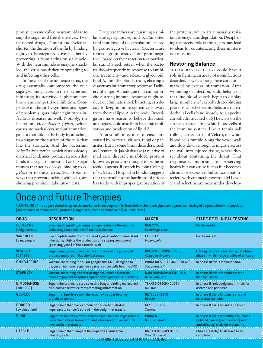ploy an enzyme called neuraminidase to snip the sugar and free themselves. Two marketed drugs, Tamiflu and Relenza, shorten the duration of the flu by binding tightly to the enzyme's active site, thereby preventing it from acting on sialic acid. With the neuraminidase enzyme shackled, the virus has difficulty spreading to and infecting other cells.

In the case of the influenza virus, the drug essentially outcompetes the true sugar, winning access to the enzyme and inhibiting its activity—a phenomenon known as competitive inhibition. Competitive inhibition by synthetic analogues of problem sugars might fight other infectious diseases as well. Notably, the bacterium *Helicobacter pylori,* which causes stomach ulcers and inflammation, gains a foothold in the body by attaching to a sugar on the surface of the cells that line the stomach. And the bacterium *Shigella dysenteriae,* which causes deadly diarrheal epidemics, produces a toxin that binds to a sugar on intestinal cells. Sugar mimics that act as decoys, binding to *H. pylori* or to the *S. dysenteriae* toxin in ways that prevent docking with cells, are showing promise in laboratory tests.

Drug researchers are pursuing a similar strategy against septic shock (an often fatal shutdown of the circulation) caused by gram-negative bacteria. (Bacteria are termed "gram-positive" or "gram-negative" based on their reaction to a particular stain.) Shock sets in when the bacteria die—frequently in response to antibiotic treatment—and release a glycolipid, lipid A, into the bloodstream, eliciting a disastrous inflammatory response. Delivery of a lipid A analogue that cannot incite a strong immune response might reduce or eliminate shock by acting as a decoy to keep immune system cells away from the real lipid A in the body. Investigators have reason to believe that such analogues could also limit bacterial replication and production of lipid A.

Almost all infectious diseases are caused by bacteria, viruses, fungi or parasites. But in some brain disorders, such as Creutzfeldt-Jakob disease (a relative of mad cow disease), misfolded proteins known as prions are thought to be the infectious agents. Research by John Collinge of St. Mary's Hospital in London suggests that the troublesome hardiness of prions has to do with improper glycosylation of

the proteins, which are unusually resistant to enzymatic degradation. Deciphering the precise role of the sugars may lead to ideas for counteracting these mysterious infections.

#### **Restoring Balance**

SUGAR-BASED DRUGS could have a role in fighting an array of noninfectious disorders as well, among them conditions marked by excess inflammation. After wounding or infection, endothelial cells that line blood vessels begin to display large numbers of carbohydrate-binding proteins called selectins. Selectins on endothelial cells bind loosely to a specific carbohydrate called sialyl Lewis x on the surface of circulating white blood cells of the immune system. Like a tennis ball rolling across a strip of Velcro, the white blood cells tumble along the vessel wall and slow down enough to migrate across the wall into injured tissue, where they set about containing the threat. That response is important for preserving health but can cause illness if it becomes chronic or excessive. Substances that interfere with contact between sialyl Lewis x and selectins are now under develop-

## Once and Future Therapies

A SAMPLING of the sugar-related drugs on the market or in development is listed below. Some are glycoconjugates, consisting of sugars paired with peptides (short chains of amino acids), proteins (longer sequences of amino acids) or lipids (fats).

| <b>DRUG</b>                              | <b>DESCRIPTION</b>                                                                                                                                                    | <b>MAKER</b>                                              | <b>STAGE OF CLINICAL TESTING</b>                                                                                        |
|------------------------------------------|-----------------------------------------------------------------------------------------------------------------------------------------------------------------------|-----------------------------------------------------------|-------------------------------------------------------------------------------------------------------------------------|
| <b>CEREZYME</b>                          | Glycolipid-degrading enzyme; compensates for the enzyme                                                                                                               | <b>GENZYME</b>                                            | On the market                                                                                                           |
| (imiglucerase)                           | deficiency responsible for Gaucher's disease                                                                                                                          | Cambridge, Mass.                                          |                                                                                                                         |
| <b>VANCOCIN</b><br>(vancomycin)          | Glycopeptide antibiotic often used against antibiotic-resistant<br>infections; inhibits the production of a sugary component<br>(peptidoglycan) of the bacterial wall | <b>ELILILLY</b><br><b>Indianapolis</b>                    | On the market                                                                                                           |
| <b>VEVESCA</b>                           | Sugar mimic; aims to reduce the synthesis of the glycolipid                                                                                                           | OXFORD GLYCOSCIENCES                                      | U.S. regulators are reviewing data from                                                                                 |
| [06T918]                                 | that accumulates in Gaucher's disease                                                                                                                                 | Abingdon, England                                         | phase III trials (large studies of efficacy)                                                                            |
| <b>GMK VACCINE</b>                       | Vaccine containing the sugar ganglioside GM2; designed to<br>trigger an immune response against cancer cells bearing GM2                                              | PROGENICS PHARMACEUTICALS<br>Tarrytown, N.Y.              | In phase III trials for melanoma                                                                                        |
| <b>STAPHVAX</b>                          | Vaccine containing a bacterial sugar coupled to a protein;<br>meant to prevent hospital-acquired Staphylococcus infections                                            | <b>NABI BIOPHARMACEUTICALS</b><br><b>Boca Raton, Fla.</b> | In phase III trials for patients with<br>kidney disease                                                                 |
| <b>BIMOSIAMOSE</b><br>[TEC1269]          | Sugar mimic; aims to stop selectins (sugar-binding molecules)<br>on blood vessel walls from promoting inflammation                                                    | <b>TEXAS BIOTECHNOLOGY</b><br><b>Houston</b>              | In phase II (relatively small) trials for<br>asthma and psoriasis                                                       |
| GCS-100                                  | Sugar that interferes with the action of a sugar-binding<br>protein on tumors                                                                                         | <b>GLYCOGENESYS</b><br><b>Boston</b>                      | In phase II trials for pancreatic and<br>colorectal cancers                                                             |
| GD0039<br>(swainsonine)                  | Sugar mimic that blocks production of carbohydrates<br>important to cancer's spread in the body (metastasis)                                                          | GLYCODESIGN<br><b>Toronto</b>                             | In phase II trials for kidney cancer                                                                                    |
| <b>PI-88</b>                             | Sugar that inhibits growth factors responsible for angiogenesis<br>[new blood vessel formation] and interferes with an enzyme<br>involved in metastasis               | <b>PROGEN</b><br>Darra, Australia                         | In phase II trials for multiple myeloma<br>(a blood cancer); in phase I/II (safety<br>and efficacy) trials for melanoma |
| <b>UT231B</b>                            | Sugar mimic that hampers the hepatitis C virus from<br>infecting cells                                                                                                | <b>UNITED THERAPEUTICS</b><br>Silver Spring, Md.          | Phase I (safety) trials have been<br>completed                                                                          |
| COPYRIGHT 2002 SCIENTIFIC AMERICAN, INC. |                                                                                                                                                                       |                                                           |                                                                                                                         |